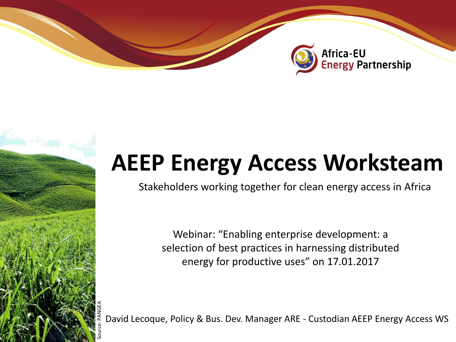

# **AEEP Energy Access Worksteam**

Stakeholders working together for clean energy access in Africa

Webinar: "Enabling enterprise development: a selection of best practices in harnessing distributed energy for productive uses" on 17.01.2017

David Lecoque, Policy & Bus. Dev. Manager ARE - Custodian AEEP Energy Access WS Source: PANGEA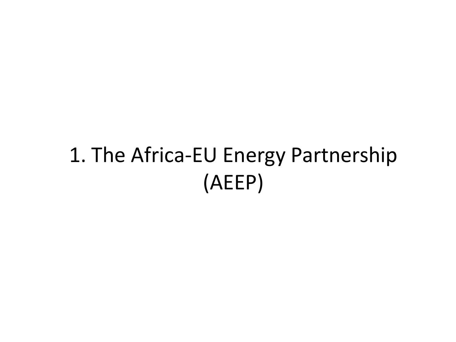# 1. The Africa-EU Energy Partnership (AEEP)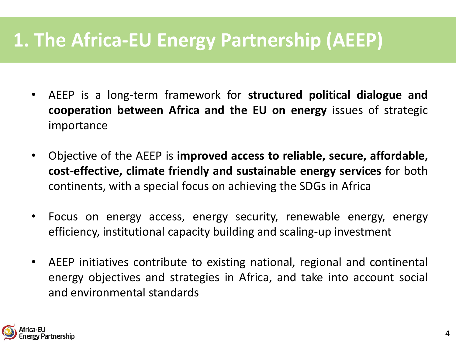### **1. The Africa-EU Energy Partnership (AEEP)**

- AEEP is a long-term framework for **structured political dialogue and cooperation between Africa and the EU on energy** issues of strategic importance
- Objective of the AEEP is **improved access to reliable, secure, affordable, cost-effective, climate friendly and sustainable energy services** for both continents, with a special focus on achieving the SDGs in Africa
- Focus on energy access, energy security, renewable energy, energy efficiency, institutional capacity building and scaling-up investment
- AEEP initiatives contribute to existing national, regional and continental energy objectives and strategies in Africa, and take into account social and environmental standards

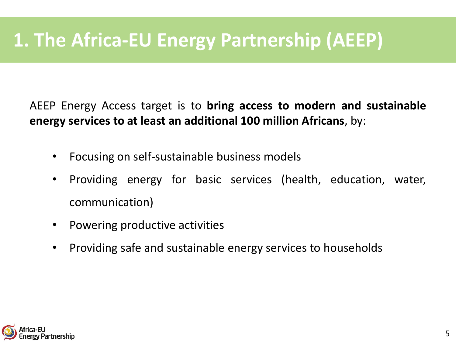## **1. The Africa-EU Energy Partnership (AEEP)**

AEEP Energy Access target is to **bring access to modern and sustainable energy services to at least an additional 100 million Africans**, by:

- Focusing on self-sustainable business models
- Providing energy for basic services (health, education, water, communication)
- Powering productive activities
- Providing safe and sustainable energy services to households

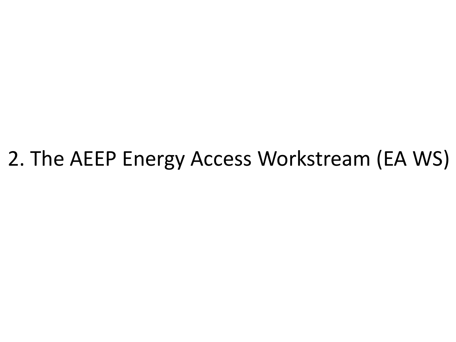## 2. The AEEP Energy Access Workstream (EA WS)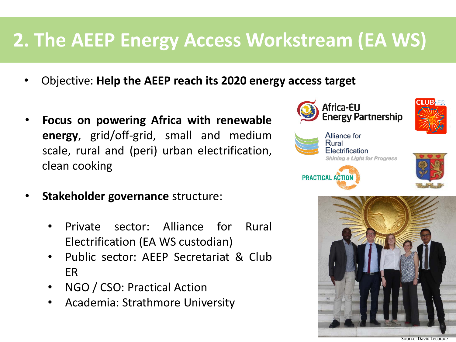### **2. The AEEP Energy Access Workstream (EA WS)**

- Objective: **Help the AEEP reach its 2020 energy access target**
- **Focus on powering Africa with renewable energy**, grid/off-grid, small and medium scale, rural and (peri) urban electrification, clean cooking
- **Stakeholder governance** structure:
	- Private sector: Alliance for Rural Electrification (EA WS custodian)
	- Public sector: AEEP Secretariat & Club ER
	- NGO / CSO: Practical Action
	- Academia: Strathmore University







6 Source: David Lecoque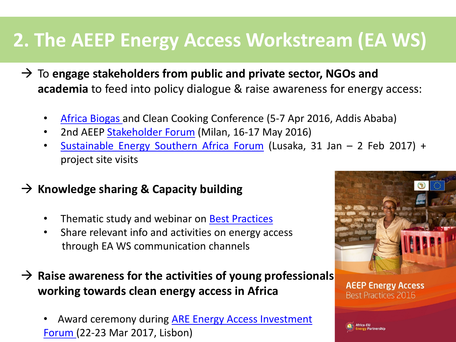## **2. The AEEP Energy Access Workstream (EA WS)**

- To **engage stakeholders from public and private sector, NGOs and academia** to feed into policy dialogue & raise awareness for energy access:
	- Africa [Biogas](https://www.hivos.org/news/hivos-announces-africa-biogas-and-clean-cooking-conference) and Clean Cooking Conference (5-7 Apr 2016, Addis Ababa)
	- 2nd AEEP [Stakeholder](http://www.aeep-forum.org/) Forum (Milan, 16-17 May 2016)
	- [Sustainable](https://www.ruralelec.org/event-calendar/sustainable-energy-southern-africa-forum-africa-eu-energy-partnership) Energy Southern Africa Forum (Lusaka, 31 Jan 2 Feb 2017) + project site visits
- $→$  **Knowledge sharing & Capacity building** 
	- Thematic study and webinar on Best [Practices](http://www.euei-pdf.org/en/aeep/thematic-work-streams/aeep-energy-access-best-practices-2016)
	- Share relevant info and activities on energy access through EA WS communication channels
- **Raise awareness for the activities of young professionals working towards clean energy access in Africa**
	- Award ceremony during ARE Energy Access [Investment](https://www.ruralelec.org/event-calendar/are-energy-access-investment-forum) [Forum](https://www.ruralelec.org/event-calendar/are-energy-access-investment-forum) (22-23 Mar 2017, Lisbon) [8](http://www.euei-pdf.org/en/aeep/thematic-work-streams/aeep-energy-access-best-practices-2016)



**AEEP Energy Access** Best Practices 2016